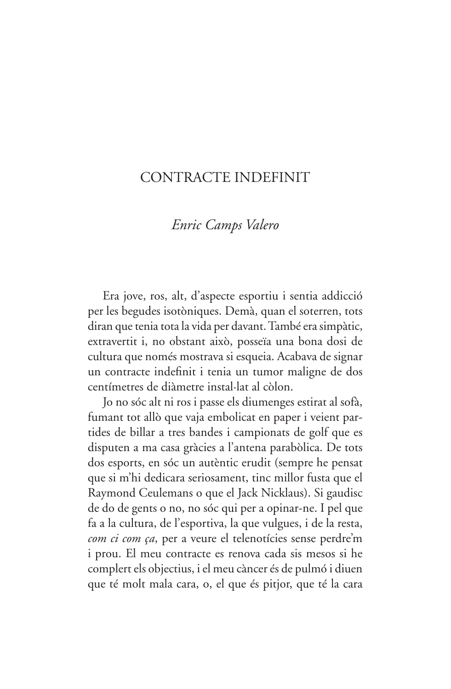## CONTRACTE INDEFINIT

## Enric Camps Valero

Era jove, ros, alt, d'aspecte esportiu i sentia addicció per les begudes isotòniques. Demà, quan el soterren, tots diran que tenia tota la vida per davant. També era simpàtic, extravertit i, no obstant això, posseïa una bona dosi de cultura que només mostrava si esqueia. Acabava de signar un contracte indefinit i tenia un tumor maligne de dos centímetres de diàmetre instal·lat al còlon.

Jo no sóc alt ni ros i passe els diumenges estirat al sofà, fumant tot allò que vaja embolicat en paper i veient partides de billar a tres bandes i campionats de golf que es disputen a ma casa gràcies a l'antena parabòlica. De tots dos esports, en sóc un autèntic erudit (sempre he pensat que si m'hi dedicara seriosament, tinc millor fusta que el Raymond Ceulemans o que el Jack Nicklaus). Si gaudisc de do de gents o no, no sóc qui per a opinar-ne. I pel que fa a la cultura, de l'esportiva, la que vulgues, i de la resta, com ci com ça, per a veure el telenotícies sense perdre'm i prou. El meu contracte es renova cada sis mesos si he complert els objectius, i el meu càncer és de pulmó i diuen que té molt mala cara, o, el que és pitjor, que té la cara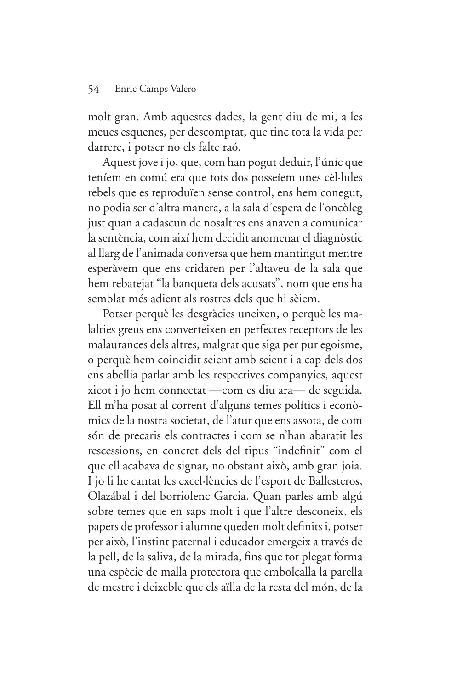molt gran. Amb aquestes dades, la gent diu de mi, a les meues esquenes, per descomptat, que tinc tota la vida per darrere, i potser no els falte raó.

Aquest jove i jo, que, com han pogut deduir, l'únic que teníem en comú era que tots dos posseíem unes cèl·lules rebels que es reproduïen sense control, ens hem conegut, no podia ser d'altra manera, a la sala d'espera de l'oncòleg just quan a cadascun de nosaltres ens anaven a comunicar la sentència, com així hem decidit anomenar el diagnòstic al llarg de l'animada conversa que hem mantingut mentre esperàvem que ens cridaren per l'altaveu de la sala que hem rebatejat "la banqueta dels acusats", nom que ens ha semblat més adient als rostres dels que hi sèiem.

Potser perquè les desgràcies uneixen, o perquè les malalties greus ens converteixen en perfectes receptors de les malaurances dels altres, malgrat que siga per pur egoisme, o perquè hem coincidit seient amb seient i a cap dels dos ens abellia parlar amb les respectives companyies, aquest xicot i jo hem connectat —com es diu ara— de seguida. Ell m'ha posat al corrent d'alguns temes polítics i econòmics de la nostra societat, de l'atur que ens assota, de com són de precaris els contractes i com se n'han abaratit les rescessions, en concret dels del tipus "indefinit" com el que ell acabava de signar, no obstant això, amb gran joia. I jo li he cantat les excel·lències de l'esport de Ballesteros, Olazábal i del borriolenc Garcia. Quan parles amb algú sobre temes que en saps molt i que l'altre desconeix, els papers de professor i alumne queden molt definits i, potser per això, l'instint paternal i educador emergeix a través de la pell, de la saliva, de la mirada, fins que tot plegat forma una espècie de malla protectora que embolcalla la parella de mestre i deixeble que els aïlla de la resta del món, de la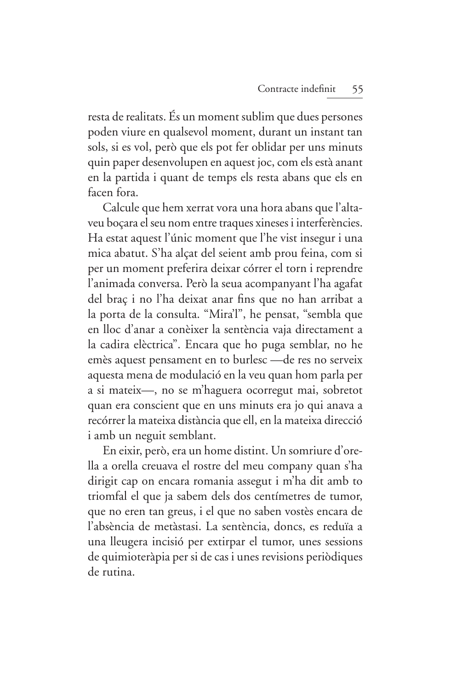resta de realitats. És un moment sublim que dues persones poden viure en qualsevol moment, durant un instant tan sols, si es vol, però que els pot fer oblidar per uns minuts quin paper desenvolupen en aquest joc, com els està anant en la partida i quant de temps els resta abans que els en facen fora.

Calcule que hem xerrat vora una hora abans que l'altaveu boçara el seu nom entre traques xineses i interferències. Ha estat aquest l'únic moment que l'he vist insegur i una mica abatut. S'ha alçat del seient amb prou feina, com si per un moment preferira deixar córrer el torn i reprendre l'animada conversa. Però la seua acompanyant l'ha agafat del braç i no l'ha deixat anar fins que no han arribat a la porta de la consulta. "Mira'l", he pensat, "sembla que en lloc d'anar a conèixer la sentència vaja directament a la cadira elèctrica". Encara que ho puga semblar, no he emès aquest pensament en to burlesc - de res no serveix aquesta mena de modulació en la veu quan hom parla per a si mateix-, no se m'haguera ocorregut mai, sobretot quan era conscient que en uns minuts era jo qui anava a recórrer la mateixa distància que ell, en la mateixa direcció i amb un neguit semblant.

En eixir, però, era un home distint. Un somriure d'orella a orella creuava el rostre del meu company quan s'ha dirigit cap on encara romania assegut i m'ha dit amb to triomfal el que ja sabem dels dos centímetres de tumor, que no eren tan greus, i el que no saben vostès encara de l'absència de metàstasi. La sentència, doncs, es reduïa a una lleugera incisió per extirpar el tumor, unes sessions de quimioteràpia per si de cas i unes revisions periòdiques de rutina.